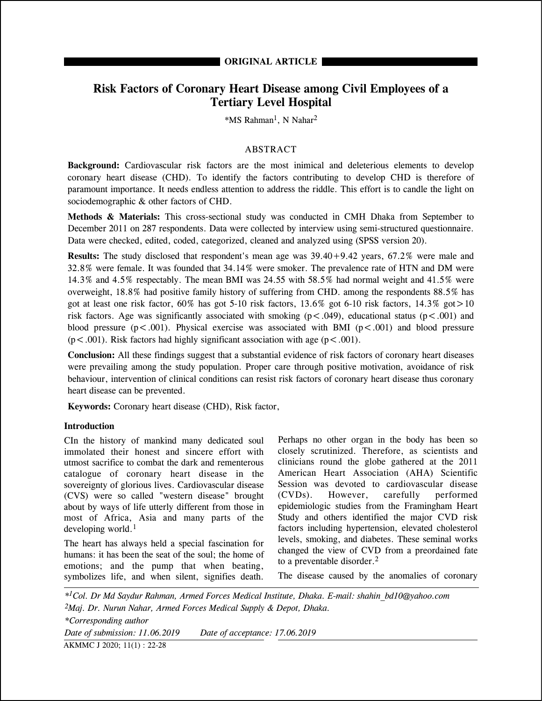# **Risk Factors of Coronary Heart Disease among Civil Employees of a Tertiary Level Hospital**

\*MS Rahman1, N Nahar2

## ABSTRACT

**Background:** Cardiovascular risk factors are the most inimical and deleterious elements to develop coronary heart disease (CHD). To identify the factors contributing to develop CHD is therefore of paramount importance. It needs endless attention to address the riddle. This effort is to candle the light on sociodemographic & other factors of CHD.

**Methods & Materials:** This cross-sectional study was conducted in CMH Dhaka from September to December 2011 on 287 respondents. Data were collected by interview using semi-structured questionnaire. Data were checked, edited, coded, categorized, cleaned and analyzed using (SPSS version 20).

**Results:** The study disclosed that respondent's mean age was 39.40+9.42 years, 67.2% were male and 32.8% were female. It was founded that 34.14% were smoker. The prevalence rate of HTN and DM were 14.3% and 4.5% respectably. The mean BMI was 24.55 with 58.5% had normal weight and 41.5% were overweight, 18.8% had positive family history of suffering from CHD. among the respondents 88.5% has got at least one risk factor,  $60\%$  has got 5-10 risk factors,  $13.6\%$  got 6-10 risk factors,  $14.3\%$  got  $>10$ risk factors. Age was significantly associated with smoking  $(p < .049)$ , educational status  $(p < .001)$  and blood pressure ( $p < .001$ ). Physical exercise was associated with BMI ( $p < .001$ ) and blood pressure  $(p < .001)$ . Risk factors had highly significant association with age  $(p < .001)$ .

**Conclusion:** All these findings suggest that a substantial evidence of risk factors of coronary heart diseases were prevailing among the study population. Proper care through positive motivation, avoidance of risk behaviour, intervention of clinical conditions can resist risk factors of coronary heart disease thus coronary heart disease can be prevented.

**Keywords:** Coronary heart disease (CHD), Risk factor,

### **Introduction**

CIn the history of mankind many dedicated soul immolated their honest and sincere effort with utmost sacrifice to combat the dark and rementerous catalogue of coronary heart disease in the sovereignty of glorious lives. Cardiovascular disease (CVS) were so called "western disease" brought about by ways of life utterly different from those in most of Africa, Asia and many parts of the developing world.<sup>1</sup>

The heart has always held a special fascination for humans: it has been the seat of the soul; the home of emotions; and the pump that when beating, symbolizes life, and when silent, signifies death.

Perhaps no other organ in the body has been so closely scrutinized. Therefore, as scientists and clinicians round the globe gathered at the 2011 American Heart Association (AHA) Scientific Session was devoted to cardiovascular disease (CVDs). However, carefully performed epidemiologic studies from the Framingham Heart Study and others identified the major CVD risk factors including hypertension, elevated cholesterol levels, smoking, and diabetes. These seminal works changed the view of CVD from a preordained fate to a preventable disorder.2

The disease caused by the anomalies of coronary

*\*1Col. Dr Md Saydur Rahman, Armed Forces Medical Institute, Dhaka. E-mail: shahin\_bd10@yahoo.com 2Maj. Dr. Nurun Nahar, Armed Forces Medical Supply & Depot, Dhaka. \*Corresponding author Date of submission: 11.06.2019 Date of acceptance: 17.06.2019* AKMMC J 2020; 11(1) : 22-28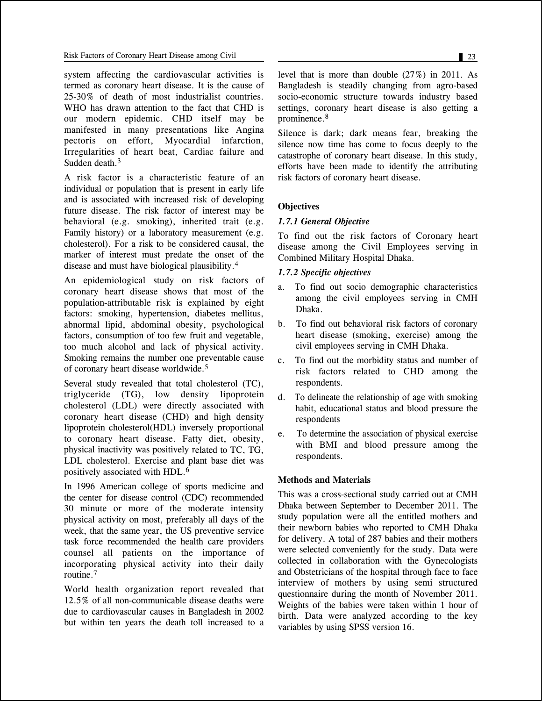system affecting the cardiovascular activities is termed as coronary heart disease. It is the cause of 25-30% of death of most industrialist countries. WHO has drawn attention to the fact that CHD is our modern epidemic. CHD itself may be manifested in many presentations like Angina pectoris on effort, Myocardial infarction, Irregularities of heart beat, Cardiac failure and Sudden death.<sup>3</sup>

A risk factor is a characteristic feature of an individual or population that is present in early life and is associated with increased risk of developing future disease. The risk factor of interest may be behavioral (e.g. smoking), inherited trait (e.g. Family history) or a laboratory measurement (e.g. cholesterol). For a risk to be considered causal, the marker of interest must predate the onset of the disease and must have biological plausibility.4

An epidemiological study on risk factors of coronary heart disease shows that most of the population-attributable risk is explained by eight factors: smoking, hypertension, diabetes mellitus, abnormal lipid, abdominal obesity, psychological factors, consumption of too few fruit and vegetable, too much alcohol and lack of physical activity. Smoking remains the number one preventable cause of coronary heart disease worldwide.5

Several study revealed that total cholesterol (TC), triglyceride (TG), low density lipoprotein cholesterol (LDL) were directly associated with coronary heart disease (CHD) and high density lipoprotein cholesterol(HDL) inversely proportional to coronary heart disease. Fatty diet, obesity, physical inactivity was positively related to TC, TG, LDL cholesterol. Exercise and plant base diet was positively associated with HDL.6

In 1996 American college of sports medicine and the center for disease control (CDC) recommended 30 minute or more of the moderate intensity physical activity on most, preferably all days of the week, that the same year, the US preventive service task force recommended the health care providers counsel all patients on the importance of incorporating physical activity into their daily routine.7

World health organization report revealed that 12.5% of all non-communicable disease deaths were due to cardiovascular causes in Bangladesh in 2002 but within ten years the death toll increased to a level that is more than double (27%) in 2011. As Bangladesh is steadily changing from agro-based socio-economic structure towards industry based settings, coronary heart disease is also getting a prominence.8

Silence is dark; dark means fear, breaking the silence now time has come to focus deeply to the catastrophe of coronary heart disease. In this study, efforts have been made to identify the attributing risk factors of coronary heart disease.

### **Objectives**

### *1.7.1 General Objective*

To find out the risk factors of Coronary heart disease among the Civil Employees serving in Combined Military Hospital Dhaka.

### *1.7.2 Specific objectives*

- a. To find out socio demographic characteristics among the civil employees serving in CMH Dhaka.
- b. To find out behavioral risk factors of coronary heart disease (smoking, exercise) among the civil employees serving in CMH Dhaka.
- c. To find out the morbidity status and number of risk factors related to CHD among the respondents.
- d. To delineate the relationship of age with smoking habit, educational status and blood pressure the respondents
- e. To determine the association of physical exercise with BMI and blood pressure among the respondents.

# **Methods and Materials**

This was a cross-sectional study carried out at CMH Dhaka between September to December 2011. The study population were all the entitled mothers and their newborn babies who reported to CMH Dhaka for delivery. A total of 287 babies and their mothers were selected conveniently for the study. Data were collected in collaboration with the Gynecologists and Obstetricians of the hospital through face to face interview of mothers by using semi structured questionnaire during the month of November 2011. Weights of the babies were taken within 1 hour of birth. Data were analyzed according to the key variables by using SPSS version 16.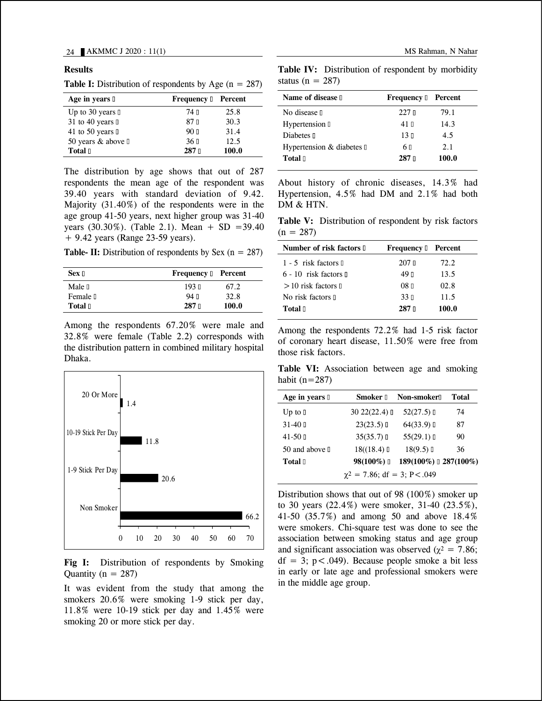#### **Results**

|  |  |  |  |  |  |  | <b>Table I:</b> Distribution of respondents by Age $(n = 287)$ |  |  |  |  |  |  |  |
|--|--|--|--|--|--|--|----------------------------------------------------------------|--|--|--|--|--|--|--|
|--|--|--|--|--|--|--|----------------------------------------------------------------|--|--|--|--|--|--|--|

| Age in years $\mathbb I$     | <b>Frequency</b> I | Percent |
|------------------------------|--------------------|---------|
| Up to 30 years $\mathbb I$   | 74 N               | 25.8    |
| 31 to 40 years $\mathbb I$   | 87 N               | 30.3    |
| 41 to 50 years $\mathbb{I}$  | 90 <sub>II</sub>   | 31.4    |
| 50 years & above $\mathbb I$ | 36 <sub>II</sub>   | 12.5    |
| Total I                      | $287$ $\Box$       | 100.0   |

The distribution by age shows that out of 287 respondents the mean age of the respondent was 39.40 years with standard deviation of 9.42. Majority (31.40%) of the respondents were in the age group 41-50 years, next higher group was 31-40 years (30.30%). (Table 2.1). Mean + SD = 39.40 + 9.42 years (Range 23-59 years).

**Table- II:** Distribution of respondents by Sex  $(n = 287)$ 

| $Sex$ $\Box$      | <b>Frequency I</b> Percent |       |
|-------------------|----------------------------|-------|
| Male <sub>I</sub> | 193 <sub>II</sub>          | 67.2  |
| Female I          | $94$ $\P$                  | 32.8  |
| Total D           | $287$ $\Box$               | 100.0 |

Among the respondents 67.20% were male and 32.8% were female (Table 2.2) corresponds with the distribution pattern in combined military hospital Dhaka.



**Fig I:** Distribution of respondents by Smoking Quantity ( $n = 287$ )

It was evident from the study that among the smokers 20.6% were smoking 1-9 stick per day, 11.8% were 10-19 stick per day and 1.45% were smoking 20 or more stick per day.

**Table IV:** Distribution of respondent by morbidity status (n =  $287$ )

| Name of disease 1          | <b>Frequency</b> $\mathbb{I}$ | Percent |
|----------------------------|-------------------------------|---------|
| No disease I               | 227n                          | 79.1    |
| Hypertension D             | 41 N                          | 14.3    |
| Diabetes <sub>I</sub>      | 13 <sub>II</sub>              | 4.5     |
| Hypertension & diabetes II | 6 II                          | 2.1     |
| Total <sub>[1]</sub>       | 287n                          | 100.0   |

About history of chronic diseases, 14.3% had Hypertension, 4.5% had DM and 2.1% had both DM & HTN.

**Table V:** Distribution of respondent by risk factors  $(n = 287)$ 

| Number of risk factors <b>I</b>    | <b>Frequency D</b> Percent |       |
|------------------------------------|----------------------------|-------|
| $1 - 5$ risk factors $\mathbb{I}$  | $207$ n                    | 72.2  |
| $6 - 10$ risk factors $\mathbb{I}$ | 49 п                       | 13.5  |
| $>10$ risk factors $\mathbb{I}$    | $08$ n                     | 02.8  |
| No risk factors II                 | 33 <sub>II</sub>           | 11.5  |
| Total II                           | $287$ $\Box$               | 100.0 |
|                                    |                            |       |

Among the respondents 72.2% had 1-5 risk factor of coronary heart disease, 11.50% were free from those risk factors.

**Table VI:** Association between age and smoking habit  $(n=287)$ 

| Age in years I                       | Smoker 1      | <b>Non-smoker</b> []  | Total |  |  |  |
|--------------------------------------|---------------|-----------------------|-------|--|--|--|
| Up to $\mathbb I$                    | 3022(22.4)    | $52(27.5)$ I          | 74    |  |  |  |
| $31-40$ D                            | $23(23.5)$ I  | $64(33.9)$ I          | 87    |  |  |  |
| $41 - 50$ D                          | $35(35.7)$ II | $55(29.1)$ I          | 90    |  |  |  |
| 50 and above $\mathbb I$             | 18( (18.4)    | 18(9.5)               | 36    |  |  |  |
| Total I                              | 98(100%)      | 189(100%) 0 287(100%) |       |  |  |  |
| $\gamma^2 = 7.86$ ; df = 3; P < .049 |               |                       |       |  |  |  |

Distribution shows that out of 98 (100%) smoker up to 30 years (22.4%) were smoker, 31-40 (23.5%), 41-50 (35.7%) and among 50 and above 18.4% were smokers. Chi-square test was done to see the association between smoking status and age group and significant association was observed ( $\chi^2$  = 7.86;  $df = 3$ ;  $p < .049$ ). Because people smoke a bit less in early or late age and professional smokers were in the middle age group.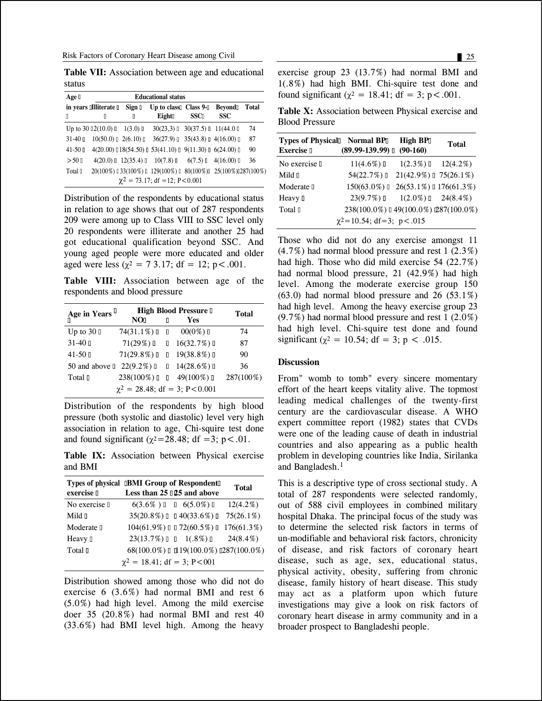**Table VII:** Association between age and educational status

| Age <sub>I</sub> |                                    |                                  | <b>Educational status</b>                                       |             |            |       |
|------------------|------------------------------------|----------------------------------|-----------------------------------------------------------------|-------------|------------|-------|
|                  | in years alliterate a              | Sign $\mathbb I$                 | Up to class $\Box$ Class $9\text{-}0$                           |             | Bevond     | Total |
| П                | 0                                  | П                                | Eight                                                           | <b>SSCI</b> | <b>SSC</b> |       |
|                  | Up to $30\,[2(10.0)]\,$ $1(3.0)$ [ |                                  | $30(23,3)$ $\Box$ $30(37.5)$ $\Box$ 11(44.0 $\Box$              |             |            | 74    |
| $31 - 401$       |                                    | $10(50.0)$ $\Box$ 2(6.10) $\Box$ | $36(27.9)$ $35(43.8)$ $4(16.00)$ $1$                            |             |            | 87    |
| $41 - 50$ D      |                                    |                                  | $4(20.00)$ $18(54.50)$ $153(41.10)$ $19(11.30)$ $16(24.00)$ $1$ |             |            | 90    |
| $>50$ D          |                                    |                                  | $4(20.0)$ $12(35.4)$ $10(7.8)$ $16(7.5)$ $14(16.00)$ 1          |             |            | 36    |
| Total D          |                                    |                                  | 20(100%) 033(100%) 0 129(100%) 0 80(100%) 0 25(100%) 0287(100%) |             |            |       |
|                  |                                    |                                  | $\chi^2 = 73.17$ ; df = 12; P < 0.001                           |             |            |       |

Distribution of the respondents by educational status in relation to age shows that out of 287 respondents 209 were among up to Class VIII to SSC level only 20 respondents were illiterate and another 25 had got educational qualification beyond SSC. And young aged people were more educated and older aged were less ( $\chi^2 = 73.17$ ; df = 12; p < .001.

**Table VIII:** Association between age of the respondents and blood pressure

| Age in Years $\mathbf{u}$ | <b>High Blood Pressure</b> II        | Total |                             |           |
|---------------------------|--------------------------------------|-------|-----------------------------|-----------|
|                           | <b>NO</b>                            | Π     | <b>Yes</b>                  |           |
| Up to $30 \square$        | $74(31.1\%)$ 0 0                     |       | $00(0\%)$ [                 | 74        |
| $31 - 401$                |                                      |       | $71(29\%)$ 0 $16(32.7\%)$ 0 | 87        |
| $41 - 50$ D               | $71(29.8\%)$ 0 $19(38.8\%)$ 0        |       |                             | 90        |
| 50 and above $\mathbb I$  | $22(9.2\%)$ 0 $14(28.6\%)$ 0         |       |                             | 36        |
| Total D                   | $238(100\%)$ I                       |       | $149(100\%)$                | 287(100%) |
|                           | $\chi^2 = 28.48$ ; df = 3; P < 0.001 |       |                             |           |

Distribution of the respondents by high blood pressure (both systolic and diastolic) level very high association in relation to age, Chi-squire test done and found significant ( $\chi^2$ =28.48; df =3; p < .01.

**Table IX:** Association between Physical exercise and BMI

| exercise D        | Types of physical <b>IBMI</b> Group of Respondent<br>Less than 25 025 and above | Total         |
|-------------------|---------------------------------------------------------------------------------|---------------|
| No exercise I     | $6(3.6\%)$ $\Box$ $6(5.0\%)$ $\Box$                                             | $12(4.2\%)$   |
| Mild <sub>I</sub> | $35(20.8\%)$ 0 $140(33.6\%)$ 0                                                  | $75(26.1\%)$  |
| Moderate II       | $104(61.9\%)$ $\Box$ 72(60.5%) $\Box$                                           | $176(61.3\%)$ |
| Heavy I           | $23(13.7\%)$ $\Box$ 1(.8%) $\Box$                                               | $24(8.4\%)$   |
| Total I           | $68(100.0\%)$ $\Box$ 19(100.0%) $\Box$ 287(100.0%)                              |               |
|                   | $\chi^2 = 18.41$ ; df = 3; P < 001                                              |               |

Distribution showed among those who did not do exercise 6 (3.6%) had normal BMI and rest 6 (5.0%) had high level. Among the mild exercise doer 35 (20.8%) had normal BMI and rest 40 (33.6%) had BMI level high. Among the heavy exercise group 23 (13.7%) had normal BMI and 1(.8%) had high BMI. Chi-squire test done and found significant ( $\chi^2 = 18.41$ ; df = 3; p < .001.

**Table X:** Association between Physical exercise and Blood Pressure

| Types of Physical Normal BP<br><b>Exercise</b> D | $(89.99-139.99)$ [                   | <b>High BPI</b><br>$(90-160)$ | Total |
|--------------------------------------------------|--------------------------------------|-------------------------------|-------|
| No exercise I                                    | $11(4.6\%)$ D                        | $1(2.3\%)$ $12(4.2\%)$        |       |
| Mild $\mathbb I$                                 | 54(22.7%)                            | $21(42.9\%)$ $175(26.1\%)$    |       |
| Moderate I                                       | $150(63.0\%)$                        | $26(53.1\%)$ 176(61.3%)       |       |
| Heavy II                                         | $23(9.7\%)$ [                        | $1(2.0\%)$ $1(2.0\%)$         |       |
| Total D                                          | 238(100.0%) 0 49(100.0%) 087(100.0%) |                               |       |
|                                                  | $\chi^2$ =10.54; df=3; p<.015        |                               |       |

Those who did not do any exercise amongst 11  $(4.7\%)$  had normal blood pressure and rest 1  $(2.3\%)$ had high. Those who did mild exercise 54 (22.7%) had normal blood pressure, 21 (42.9%) had high level. Among the moderate exercise group 150  $(63.0)$  had normal blood pressure and 26  $(53.1\%)$ had high level. Among the heavy exercise group 23 (9.7%) had normal blood pressure and rest 1 (2.0%) had high level. Chi-squire test done and found significant ( $\gamma^2 = 10.54$ ; df = 3; p < .015.

#### **Discussion**

From" womb to tomb" every sincere momentary effort of the heart keeps vitality alive. The topmost leading medical challenges of the twenty-first century are the cardiovascular disease. A WHO expert committee report (1982) states that CVDs were one of the leading cause of death in industrial countries and also appearing as a public health problem in developing countries like India, Sirilanka and Bangladesh.<sup>1</sup>

This is a descriptive type of cross sectional study. A total of 287 respondents were selected randomly, out of 588 civil employees in combined military hospital Dhaka. The principal focus of the study was to determine the selected risk factors in terms of un-modifiable and behavioral risk factors, chronicity of disease, and risk factors of coronary heart disease, such as age, sex, educational status, physical activity, obesity, suffering from chronic disease, family history of heart disease. This study may act as a platform upon which future investigations may give a look on risk factors of coronary heart disease in army community and in a broader prospect to Bangladeshi people.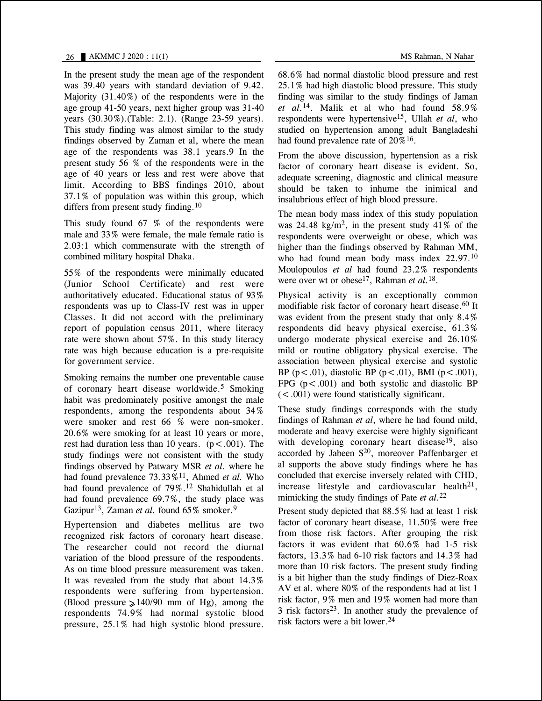In the present study the mean age of the respondent was 39.40 years with standard deviation of 9.42. Majority (31.40%) of the respondents were in the age group 41-50 years, next higher group was 31-40 years (30.30%).(Table: 2.1). (Range 23-59 years). This study finding was almost similar to the study findings observed by Zaman et al, where the mean age of the respondents was 38.1 years.9 In the present study 56 % of the respondents were in the age of 40 years or less and rest were above that limit. According to BBS findings 2010, about 37.1% of population was within this group, which differs from present study finding.<sup>10</sup>

This study found 67 % of the respondents were male and 33% were female, the male female ratio is 2.03:1 which commensurate with the strength of combined military hospital Dhaka.

55% of the respondents were minimally educated (Junior School Certificate) and rest were authoritatively educated. Educational status of 93% respondents was up to Class-IV rest was in upper Classes. It did not accord with the preliminary report of population census 2011, where literacy rate were shown about 57%. In this study literacy rate was high because education is a pre-requisite for government service.

Smoking remains the number one preventable cause of coronary heart disease worldwide.5 Smoking habit was predominately positive amongst the male respondents, among the respondents about 34% were smoker and rest 66 % were non-smoker. 20.6% were smoking for at least 10 years or more, rest had duration less than 10 years.  $(p < .001)$ . The study findings were not consistent with the study findings observed by Patwary MSR *et al*. where he had found prevalence 73.33%11, Ahmed *et al.* Who had found prevalence of 79%.12 Shahidullah et al had found prevalence 69.7%, the study place was Gazipur13, Zaman *et al.* found 65% smoker.9

Hypertension and diabetes mellitus are two recognized risk factors of coronary heart disease. The researcher could not record the diurnal variation of the blood pressure of the respondents. As on time blood pressure measurement was taken. It was revealed from the study that about 14.3% respondents were suffering from hypertension. (Blood pressure  $\geq$  140/90 mm of Hg), among the respondents 74.9% had normal systolic blood pressure, 25.1% had high systolic blood pressure.

68.6% had normal diastolic blood pressure and rest 25.1% had high diastolic blood pressure. This study finding was similar to the study findings of Jaman *et al.*14. Malik et al who had found 58.9% respondents were hypertensive15, Ullah *et al*, who studied on hypertension among adult Bangladeshi had found prevalence rate of  $20\%$ <sup>16</sup>.

From the above discussion, hypertension as a risk factor of coronary heart disease is evident. So, adequate screening, diagnostic and clinical measure should be taken to inhume the inimical and insalubrious effect of high blood pressure.

The mean body mass index of this study population was  $24.48 \text{ kg/m}^2$ , in the present study  $41\%$  of the respondents were overweight or obese, which was higher than the findings observed by Rahman MM, who had found mean body mass index 22.97.<sup>10</sup> Moulopoulos *et al* had found 23.2% respondents were over wt or obese17, Rahman *et al.*18.

Physical activity is an exceptionally common modifiable risk factor of coronary heart disease.<sup>60</sup> It was evident from the present study that only 8.4% respondents did heavy physical exercise, 61.3% undergo moderate physical exercise and 26.10% mild or routine obligatory physical exercise. The association between physical exercise and systolic BP ( $p < .01$ ), diastolic BP ( $p < .01$ ), BMI ( $p < .001$ ), FPG  $(p < .001)$  and both systolic and diastolic BP  $(<.001)$  were found statistically significant.

These study findings corresponds with the study findings of Rahman *et al*, where he had found mild, moderate and heavy exercise were highly significant with developing coronary heart disease<sup>19</sup>, also accorded by Jabeen S<sup>20</sup>, moreover Paffenbarger et al supports the above study findings where he has concluded that exercise inversely related with CHD, increase lifestyle and cardiovascular health<sup>21</sup>, mimicking the study findings of Pate *et al.*<sup>22</sup>

Present study depicted that 88.5% had at least 1 risk factor of coronary heart disease, 11.50% were free from those risk factors. After grouping the risk factors it was evident that 60.6% had 1-5 risk factors, 13.3% had 6-10 risk factors and 14.3% had more than 10 risk factors. The present study finding is a bit higher than the study findings of Diez-Roax AV et al. where 80% of the respondents had at list 1 risk factor, 9% men and 19% women had more than  $3$  risk factors<sup>23</sup>. In another study the prevalence of risk factors were a bit lower.24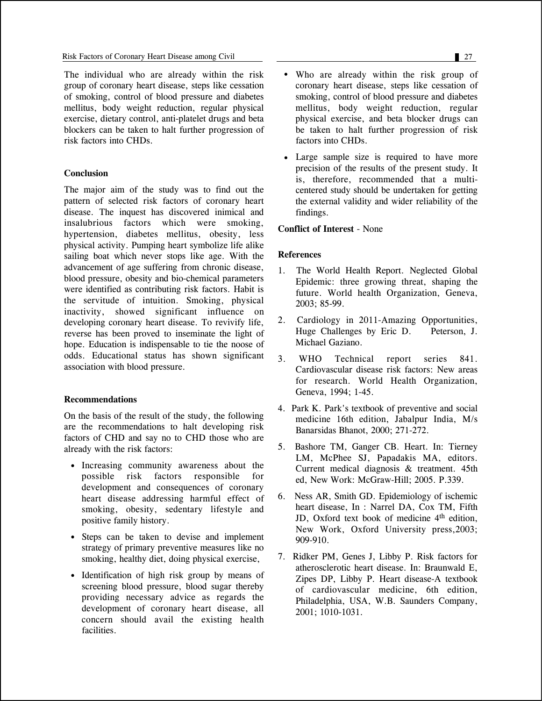The individual who are already within the risk group of coronary heart disease, steps like cessation of smoking, control of blood pressure and diabetes mellitus, body weight reduction, regular physical exercise, dietary control, anti-platelet drugs and beta blockers can be taken to halt further progression of risk factors into CHDs.

### **Conclusion**

The major aim of the study was to find out the pattern of selected risk factors of coronary heart disease. The inquest has discovered inimical and insalubrious factors which were smoking, hypertension, diabetes mellitus, obesity, less physical activity. Pumping heart symbolize life alike sailing boat which never stops like age. With the advancement of age suffering from chronic disease, blood pressure, obesity and bio-chemical parameters were identified as contributing risk factors. Habit is the servitude of intuition. Smoking, physical inactivity, showed significant influence on developing coronary heart disease. To revivify life, reverse has been proved to inseminate the light of hope. Education is indispensable to tie the noose of odds. Educational status has shown significant association with blood pressure.

# **Recommendations**

On the basis of the result of the study, the following are the recommendations to halt developing risk factors of CHD and say no to CHD those who are already with the risk factors:

- Increasing community awareness about the possible risk factors responsible for development and consequences of coronary heart disease addressing harmful effect of smoking, obesity, sedentary lifestyle and positive family history.
- Steps can be taken to devise and implement strategy of primary preventive measures like no smoking, healthy diet, doing physical exercise,
- Identification of high risk group by means of screening blood pressure, blood sugar thereby providing necessary advice as regards the development of coronary heart disease, all concern should avail the existing health facilities.
- Who are already within the risk group of coronary heart disease, steps like cessation of smoking, control of blood pressure and diabetes mellitus, body weight reduction, regular physical exercise, and beta blocker drugs can be taken to halt further progression of risk factors into CHDs.
- Large sample size is required to have more precision of the results of the present study. It is, therefore, recommended that a multicentered study should be undertaken for getting the external validity and wider reliability of the findings.

### **Conflict of Interest** - None

### **References**

- 1. The World Health Report. Neglected Global Epidemic: three growing threat, shaping the future. World health Organization, Geneva, 2003; 85-99.
- 2. Cardiology in 2011-Amazing Opportunities, Huge Challenges by Eric D. Peterson, J. Michael Gaziano.
- 3. WHO Technical report series 841. Cardiovascular disease risk factors: New areas for research. World Health Organization, Geneva, 1994; 1-45.
- 4. Park K. Park's textbook of preventive and social medicine 16th edition, Jabalpur India, M/s Banarsidas Bhanot, 2000; 271-272.
- 5. Bashore TM, Ganger CB. Heart. In: Tierney LM, McPhee SJ, Papadakis MA, editors. Current medical diagnosis & treatment. 45th ed, New Work: McGraw-Hill; 2005. P.339.
- 6. Ness AR, Smith GD. Epidemiology of ischemic heart disease, In : Narrel DA, Cox TM, Fifth JD, Oxford text book of medicine 4<sup>th</sup> edition, New Work, Oxford University press,2003; 909-910.
- 7. Ridker PM, Genes J, Libby P. Risk factors for atherosclerotic heart disease. In: Braunwald E, Zipes DP, Libby P. Heart disease-A textbook of cardiovascular medicine, 6th edition, Philadelphia, USA, W.B. Saunders Company, 2001; 1010-1031.